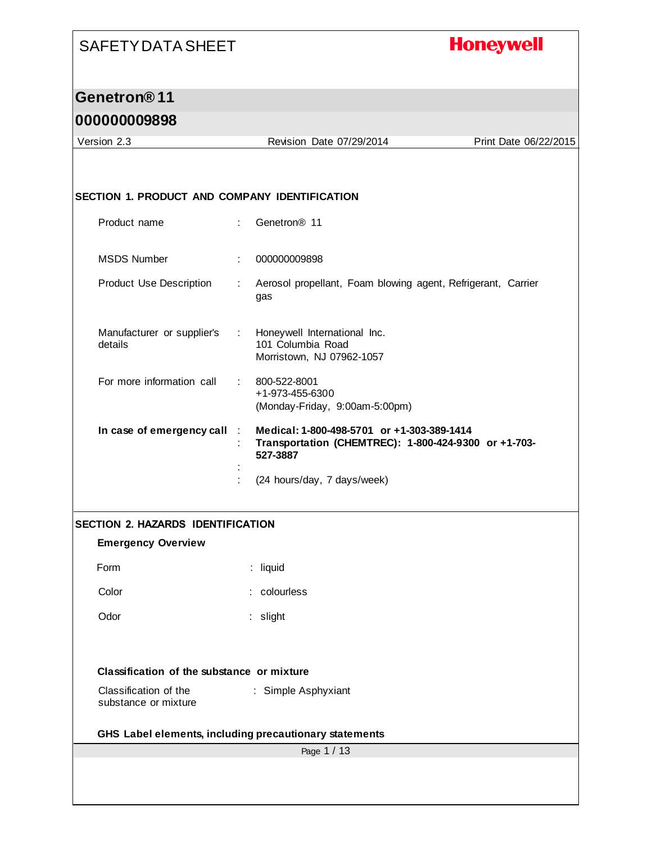#### **Honeywell**

#### **Genetron® 11**

#### **000000009898**

Version 2.3 Revision Date 07/29/2014 Print Date 06/22/2015 **SECTION 1. PRODUCT AND COMPANY IDENTIFICATION** Product name : Genetron® 11 MSDS Number : 000000009898 Product Use Description : Aerosol propellant, Foam blowing agent, Refrigerant, Carrier gas Manufacturer or supplier's details : Honeywell International Inc. 101 Columbia Road Morristown, NJ 07962-1057 For more information call : 800-522-8001 +1-973-455-6300 (Monday-Friday, 9:00am-5:00pm) **In case of emergency call** : **Medical: 1-800-498-5701 or +1-303-389-1414** : **Transportation (CHEMTREC): 1-800-424-9300 or +1-703- 527-3887** : : (24 hours/day, 7 days/week) **SECTION 2. HAZARDS IDENTIFICATION Emergency Overview** Form : liquid Color : colourless Odor : slight **Classification of the substance or mixture** Classification of the substance or mixture : Simple Asphyxiant

**GHS Label elements, including precautionary statements**

Page 1 / 13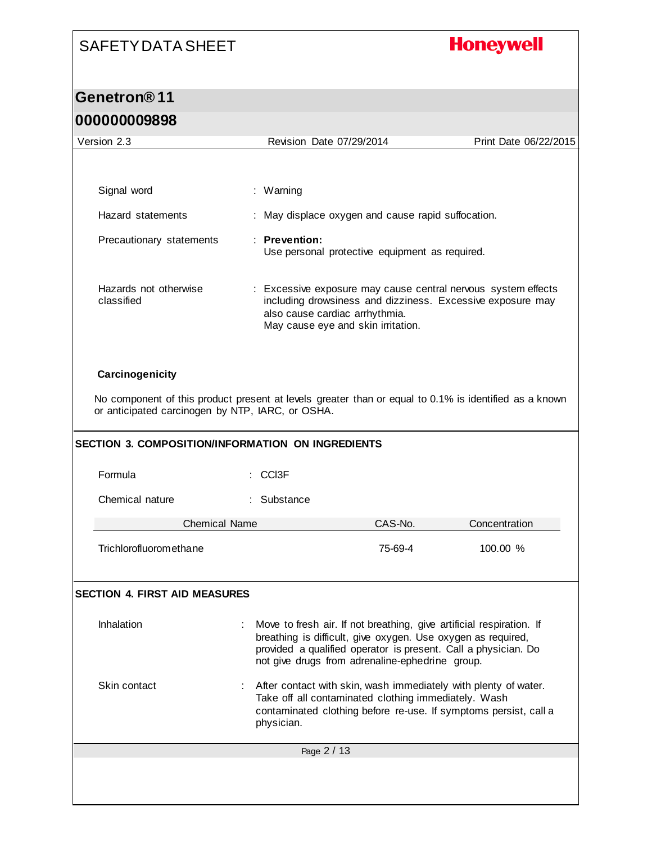### **Honeywell**

# **Genetron® 11**

| 000000009898                                                        |                                                                                                                                                                                                        |                       |
|---------------------------------------------------------------------|--------------------------------------------------------------------------------------------------------------------------------------------------------------------------------------------------------|-----------------------|
| Version 2.3                                                         | Revision Date 07/29/2014                                                                                                                                                                               | Print Date 06/22/2015 |
|                                                                     |                                                                                                                                                                                                        |                       |
| Signal word                                                         | : Warning                                                                                                                                                                                              |                       |
| Hazard statements                                                   | May displace oxygen and cause rapid suffocation.                                                                                                                                                       |                       |
| Precautionary statements                                            | : Prevention:<br>Use personal protective equipment as required.                                                                                                                                        |                       |
| Hazards not otherwise<br>classified                                 | Excessive exposure may cause central nervous system effects<br>including drowsiness and dizziness. Excessive exposure may<br>also cause cardiac arrhythmia.<br>May cause eye and skin irritation.      |                       |
| Carcinogenicity<br>or anticipated carcinogen by NTP, IARC, or OSHA. | No component of this product present at levels greater than or equal to 0.1% is identified as a known                                                                                                  |                       |
| SECTION 3. COMPOSITION/INFORMATION ON INGREDIENTS                   |                                                                                                                                                                                                        |                       |
| Formula                                                             | CCI <sub>3</sub> F                                                                                                                                                                                     |                       |
| Chemical nature                                                     | : Substance                                                                                                                                                                                            |                       |
| <b>Chemical Name</b>                                                | CAS-No.                                                                                                                                                                                                | Concentration         |
| <b>Trichlorofluoromethane</b>                                       | 75-69-4                                                                                                                                                                                                | 100.00 %              |
| <b>SECTION 4. FIRST AID MEASURES</b>                                |                                                                                                                                                                                                        |                       |
| Inhalation                                                          | Move to fresh air. If not breathing, give artificial respiration. If<br>breathing is difficult, give oxygen. Use oxygen as required,<br>provided a qualified operator is present. Call a physician. Do |                       |

not give drugs from adrenaline-ephedrine group. Skin contact : After contact with skin, wash immediately with plenty of water. Take off all contaminated clothing immediately. Wash contaminated clothing before re-use. If symptoms persist, call a physician.

| Page 2 / 13 |  |  |
|-------------|--|--|
|             |  |  |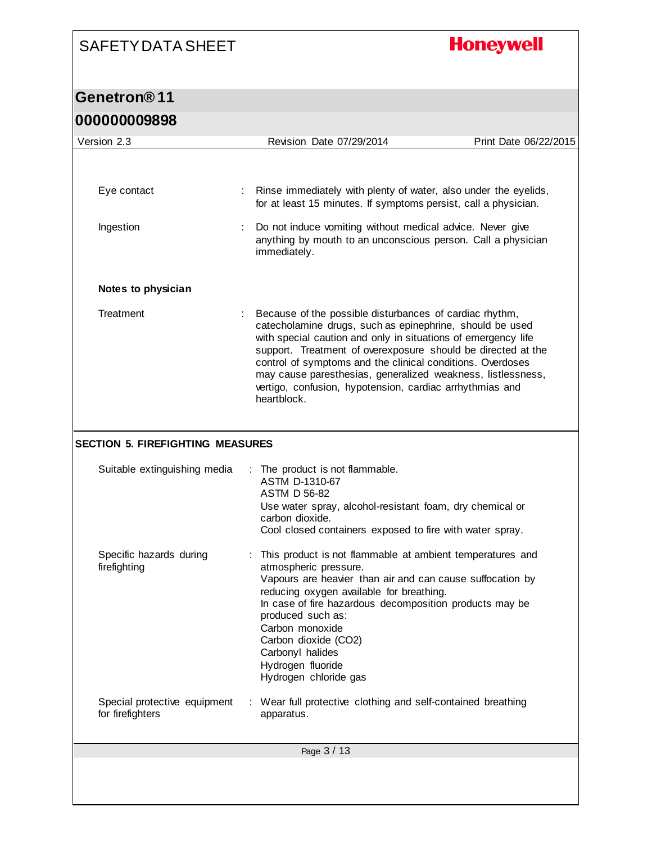# **Honeywell**

| <u>unnnnnnaoao</u>                               |                                                                                                                                                                                                                                                                                                                                                                                                                                                              |                       |
|--------------------------------------------------|--------------------------------------------------------------------------------------------------------------------------------------------------------------------------------------------------------------------------------------------------------------------------------------------------------------------------------------------------------------------------------------------------------------------------------------------------------------|-----------------------|
| Version 2.3                                      | Revision Date 07/29/2014                                                                                                                                                                                                                                                                                                                                                                                                                                     | Print Date 06/22/2015 |
|                                                  |                                                                                                                                                                                                                                                                                                                                                                                                                                                              |                       |
| Eye contact                                      | Rinse immediately with plenty of water, also under the eyelids,<br>for at least 15 minutes. If symptoms persist, call a physician.                                                                                                                                                                                                                                                                                                                           |                       |
| Ingestion                                        | Do not induce vomiting without medical advice. Never give<br>anything by mouth to an unconscious person. Call a physician<br>immediately.                                                                                                                                                                                                                                                                                                                    |                       |
| Notes to physician                               |                                                                                                                                                                                                                                                                                                                                                                                                                                                              |                       |
| Treatment                                        | Because of the possible disturbances of cardiac rhythm,<br>catecholamine drugs, such as epinephrine, should be used<br>with special caution and only in situations of emergency life<br>support. Treatment of overexposure should be directed at the<br>control of symptoms and the clinical conditions. Overdoses<br>may cause paresthesias, generalized weakness, listlessness,<br>vertigo, confusion, hypotension, cardiac arrhythmias and<br>heartblock. |                       |
| <b>SECTION 5. FIREFIGHTING MEASURES</b>          |                                                                                                                                                                                                                                                                                                                                                                                                                                                              |                       |
| Suitable extinguishing media                     | : The product is not flammable.<br>ASTM D-1310-67<br><b>ASTM D 56-82</b><br>Use water spray, alcohol-resistant foam, dry chemical or<br>carbon dioxide.<br>Cool closed containers exposed to fire with water spray.                                                                                                                                                                                                                                          |                       |
| Specific hazards during<br>firefighting          | This product is not flammable at ambient temperatures and<br>atmospheric pressure.<br>Vapours are heavier than air and can cause suffocation by<br>reducing oxygen available for breathing.<br>In case of fire hazardous decomposition products may be<br>produced such as:<br>Carbon monoxide<br>Carbon dioxide (CO2)<br>Carbonyl halides<br>Hydrogen fluoride<br>Hydrogen chloride gas                                                                     |                       |
| Special protective equipment<br>for firefighters | : Wear full protective clothing and self-contained breathing<br>apparatus.                                                                                                                                                                                                                                                                                                                                                                                   |                       |
|                                                  | Page 3 / 13                                                                                                                                                                                                                                                                                                                                                                                                                                                  |                       |
|                                                  |                                                                                                                                                                                                                                                                                                                                                                                                                                                              |                       |
|                                                  |                                                                                                                                                                                                                                                                                                                                                                                                                                                              |                       |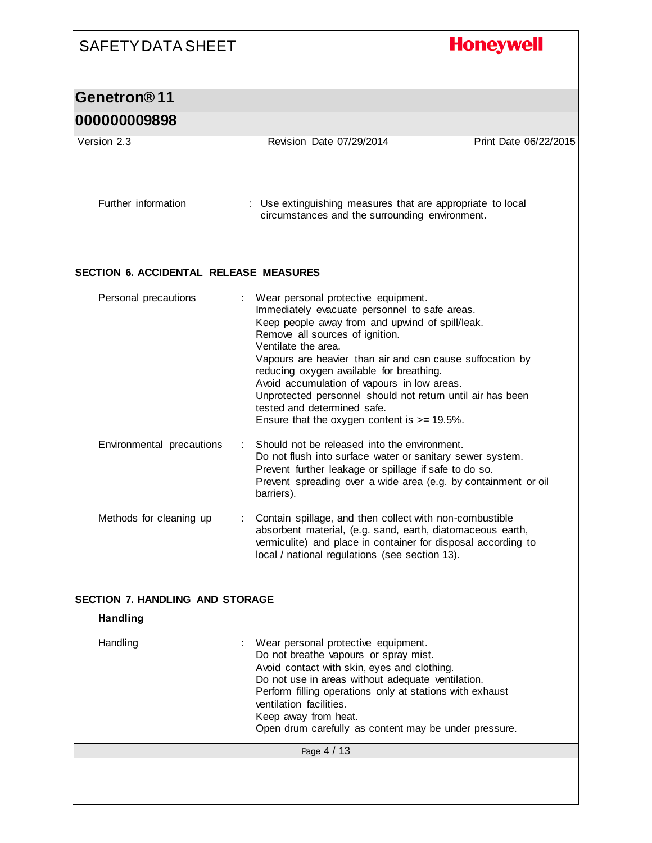| <b>SAFETY DATA SHEET</b>                      | <b>Honeywell</b>                                                                                                                                                                                                                                                                                                                                                                                                                                                                                          |
|-----------------------------------------------|-----------------------------------------------------------------------------------------------------------------------------------------------------------------------------------------------------------------------------------------------------------------------------------------------------------------------------------------------------------------------------------------------------------------------------------------------------------------------------------------------------------|
| Genetron®11                                   |                                                                                                                                                                                                                                                                                                                                                                                                                                                                                                           |
| 000000009898                                  |                                                                                                                                                                                                                                                                                                                                                                                                                                                                                                           |
| Version 2.3                                   | Revision Date 07/29/2014<br>Print Date 06/22/2015                                                                                                                                                                                                                                                                                                                                                                                                                                                         |
| Further information                           | : Use extinguishing measures that are appropriate to local<br>circumstances and the surrounding environment.                                                                                                                                                                                                                                                                                                                                                                                              |
| <b>SECTION 6. ACCIDENTAL RELEASE MEASURES</b> |                                                                                                                                                                                                                                                                                                                                                                                                                                                                                                           |
| Personal precautions                          | Wear personal protective equipment.<br>Immediately evacuate personnel to safe areas.<br>Keep people away from and upwind of spill/leak.<br>Remove all sources of ignition.<br>Ventilate the area.<br>Vapours are heavier than air and can cause suffocation by<br>reducing oxygen available for breathing.<br>Avoid accumulation of vapours in low areas.<br>Unprotected personnel should not return until air has been<br>tested and determined safe.<br>Ensure that the oxygen content is $>= 19.5\%$ . |
| Environmental precautions                     | Should not be released into the environment.<br>Do not flush into surface water or sanitary sewer system.<br>Prevent further leakage or spillage if safe to do so.<br>Prevent spreading over a wide area (e.g. by containment or oil<br>barriers).                                                                                                                                                                                                                                                        |
| Methods for cleaning up                       | Contain spillage, and then collect with non-combustible<br>absorbent material, (e.g. sand, earth, diatomaceous earth,<br>vermiculite) and place in container for disposal according to<br>local / national regulations (see section 13).                                                                                                                                                                                                                                                                  |
| <b>SECTION 7. HANDLING AND STORAGE</b>        |                                                                                                                                                                                                                                                                                                                                                                                                                                                                                                           |
| <b>Handling</b>                               |                                                                                                                                                                                                                                                                                                                                                                                                                                                                                                           |
| Handling                                      | Wear personal protective equipment.<br>Do not breathe vapours or spray mist.<br>Avoid contact with skin, eyes and clothing.<br>Do not use in areas without adequate ventilation.<br>Perform filling operations only at stations with exhaust<br>ventilation facilities.<br>Keep away from heat.<br>Open drum carefully as content may be under pressure.                                                                                                                                                  |
|                                               | Page 4 / 13                                                                                                                                                                                                                                                                                                                                                                                                                                                                                               |

I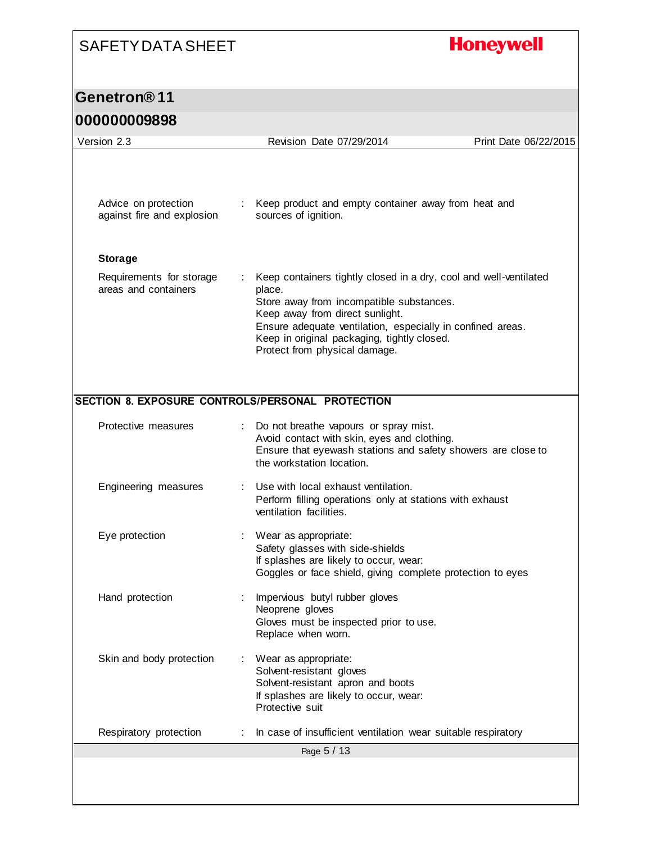# **Honeywell**

### **Genetron® 11**

#### **000000009898**

| Version 2.3                                      | Revision Date 07/29/2014                                                                                  | Print Date 06/22/2015 |
|--------------------------------------------------|-----------------------------------------------------------------------------------------------------------|-----------------------|
|                                                  |                                                                                                           |                       |
|                                                  |                                                                                                           |                       |
|                                                  |                                                                                                           |                       |
| Advice on protection                             | Keep product and empty container away from heat and                                                       |                       |
| against fire and explosion                       | sources of ignition.                                                                                      |                       |
|                                                  |                                                                                                           |                       |
| <b>Storage</b>                                   |                                                                                                           |                       |
| Requirements for storage                         | Keep containers tightly closed in a dry, cool and well-ventilated                                         |                       |
| areas and containers                             | place.<br>Store away from incompatible substances.                                                        |                       |
|                                                  | Keep away from direct sunlight.                                                                           |                       |
|                                                  | Ensure adequate ventilation, especially in confined areas.<br>Keep in original packaging, tightly closed. |                       |
|                                                  | Protect from physical damage.                                                                             |                       |
|                                                  |                                                                                                           |                       |
|                                                  |                                                                                                           |                       |
| SECTION 8. EXPOSURE CONTROLS/PERSONAL PROTECTION |                                                                                                           |                       |
| Protective measures                              | Do not breathe vapours or spray mist.                                                                     |                       |
|                                                  | Avoid contact with skin, eyes and clothing.                                                               |                       |
|                                                  | Ensure that eyewash stations and safety showers are close to<br>the workstation location.                 |                       |
|                                                  |                                                                                                           |                       |
| Engineering measures                             | Use with local exhaust ventilation.<br>Perform filling operations only at stations with exhaust           |                       |
|                                                  | ventilation facilities.                                                                                   |                       |
| Eye protection                                   | Wear as appropriate:                                                                                      |                       |
|                                                  | Safety glasses with side-shields                                                                          |                       |
|                                                  | If splashes are likely to occur, wear:<br>Goggles or face shield, giving complete protection to eyes      |                       |
|                                                  |                                                                                                           |                       |
| Hand protection                                  | Impervious butyl rubber gloves                                                                            |                       |
|                                                  | Neoprene gloves<br>Gloves must be inspected prior to use.                                                 |                       |
|                                                  | Replace when worn.                                                                                        |                       |
| Skin and body protection                         | Wear as appropriate:                                                                                      |                       |
|                                                  | Solvent-resistant gloves                                                                                  |                       |
|                                                  | Solvent-resistant apron and boots<br>If splashes are likely to occur, wear:                               |                       |
|                                                  | Protective suit                                                                                           |                       |
| Respiratory protection                           | In case of insufficient ventilation wear suitable respiratory                                             |                       |
|                                                  | Page 5 / 13                                                                                               |                       |
|                                                  |                                                                                                           |                       |
|                                                  |                                                                                                           |                       |
|                                                  |                                                                                                           |                       |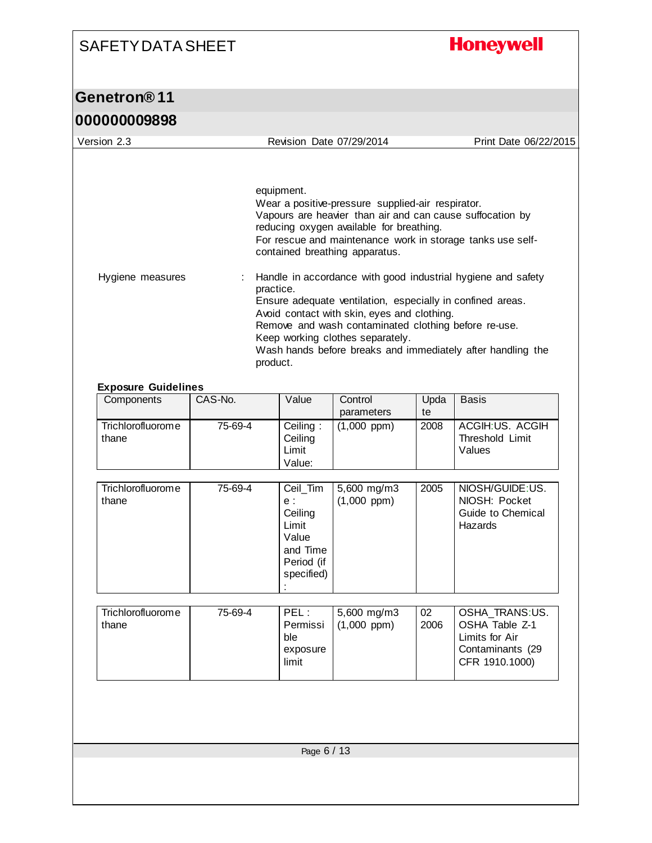# **Honeywell**

| <b>000000009898</b>                            |         |                                                                                                                                                                                                                                                                                                                                                                    |                                 |            |                                                                                          |  |
|------------------------------------------------|---------|--------------------------------------------------------------------------------------------------------------------------------------------------------------------------------------------------------------------------------------------------------------------------------------------------------------------------------------------------------------------|---------------------------------|------------|------------------------------------------------------------------------------------------|--|
| Version 2.3                                    |         |                                                                                                                                                                                                                                                                                                                                                                    | Revision Date 07/29/2014        |            | Print Date 06/22/2015                                                                    |  |
|                                                |         | equipment.<br>Wear a positive-pressure supplied-air respirator.<br>Vapours are heavier than air and can cause suffocation by<br>reducing oxygen available for breathing.<br>For rescue and maintenance work in storage tanks use self-<br>contained breathing apparatus.                                                                                           |                                 |            |                                                                                          |  |
| Hygiene measures<br><b>Exposure Guidelines</b> |         | Handle in accordance with good industrial hygiene and safety<br>÷<br>practice.<br>Ensure adequate ventilation, especially in confined areas.<br>Avoid contact with skin, eyes and clothing.<br>Remove and wash contaminated clothing before re-use.<br>Keep working clothes separately.<br>Wash hands before breaks and immediately after handling the<br>product. |                                 |            |                                                                                          |  |
| Components                                     | CAS-No. | Value                                                                                                                                                                                                                                                                                                                                                              | Control<br>parameters           | Upda<br>te | <b>Basis</b>                                                                             |  |
| <b>Trichlorofluorome</b><br>thane              | 75-69-4 | Ceiling:<br>Ceiling<br>Limit<br>Value:                                                                                                                                                                                                                                                                                                                             | $(1,000$ ppm)                   | 2008       | ACGIH:US. ACGIH<br>Threshold Limit<br>Values                                             |  |
| Trichlorofluorome<br>thane                     | 75-69-4 | Ceil_Tim<br>e:<br>Ceiling<br>Limit<br>Value<br>and Time<br>Period (if<br>specified)                                                                                                                                                                                                                                                                                | 5,600 mg/m3<br>$(1,000$ ppm)    | 2005       | NIOSH/GUIDE:US.<br>NIOSH: Pocket<br>Guide to Chemical<br>Hazards                         |  |
| Trichlorofluorome<br>thane                     | 75-69-4 | PEL:<br>Permissi<br>ble<br>exposure<br>limit                                                                                                                                                                                                                                                                                                                       | 5,600 mg/m3<br>$(1,000$ ppm $)$ | 02<br>2006 | OSHA_TRANS:US.<br>OSHA Table Z-1<br>Limits for Air<br>Contaminants (29<br>CFR 1910.1000) |  |
|                                                |         | Page 6 / 13                                                                                                                                                                                                                                                                                                                                                        |                                 |            |                                                                                          |  |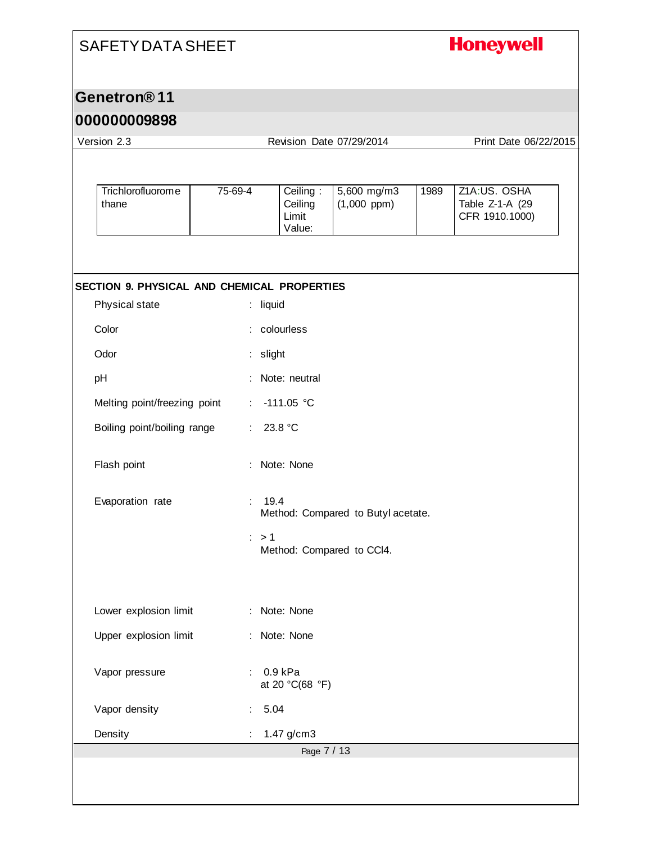# **Honeywell**

### **Genetron® 11**

#### **000000009898**

| Version 2.3                                 |                  |                                        | Revision Date 07/29/2014           | Print Date 06/22/2015 |                                                   |  |
|---------------------------------------------|------------------|----------------------------------------|------------------------------------|-----------------------|---------------------------------------------------|--|
|                                             |                  |                                        |                                    |                       |                                                   |  |
| <b>Trichlorofluorome</b><br>thane           | 75-69-4          | Ceiling:<br>Ceiling<br>Limit<br>Value: | 5,600 mg/m3<br>$(1,000$ ppm)       | 1989                  | Z1A:US. OSHA<br>Table Z-1-A (29<br>CFR 1910.1000) |  |
|                                             |                  |                                        |                                    |                       |                                                   |  |
| SECTION 9. PHYSICAL AND CHEMICAL PROPERTIES |                  |                                        |                                    |                       |                                                   |  |
| Physical state                              | : liquid         |                                        |                                    |                       |                                                   |  |
| Color                                       |                  | colourless                             |                                    |                       |                                                   |  |
| Odor                                        | : slight         |                                        |                                    |                       |                                                   |  |
| pH                                          |                  | : Note: neutral                        |                                    |                       |                                                   |  |
| Melting point/freezing point                | ÷                | $-111.05 °C$                           |                                    |                       |                                                   |  |
| Boiling point/boiling range                 | ÷.               | 23.8 °C                                |                                    |                       |                                                   |  |
| Flash point                                 |                  | Note: None                             |                                    |                       |                                                   |  |
| Evaporation rate                            | 19.4<br>÷.       |                                        | Method: Compared to Butyl acetate. |                       |                                                   |  |
|                                             | $\therefore$ > 1 |                                        | Method: Compared to CCI4.          |                       |                                                   |  |
|                                             |                  |                                        |                                    |                       |                                                   |  |
| Lower explosion limit                       |                  | : Note: None                           |                                    |                       |                                                   |  |
| Upper explosion limit                       |                  | : Note: None                           |                                    |                       |                                                   |  |
| Vapor pressure                              |                  | 0.9 kPa<br>at 20 °C(68 °F)             |                                    |                       |                                                   |  |
| Vapor density                               | 5.04             |                                        |                                    |                       |                                                   |  |
| Density                                     |                  | 1.47 g/cm3                             |                                    |                       |                                                   |  |
|                                             |                  | Page 7 / 13                            |                                    |                       |                                                   |  |
|                                             |                  |                                        |                                    |                       |                                                   |  |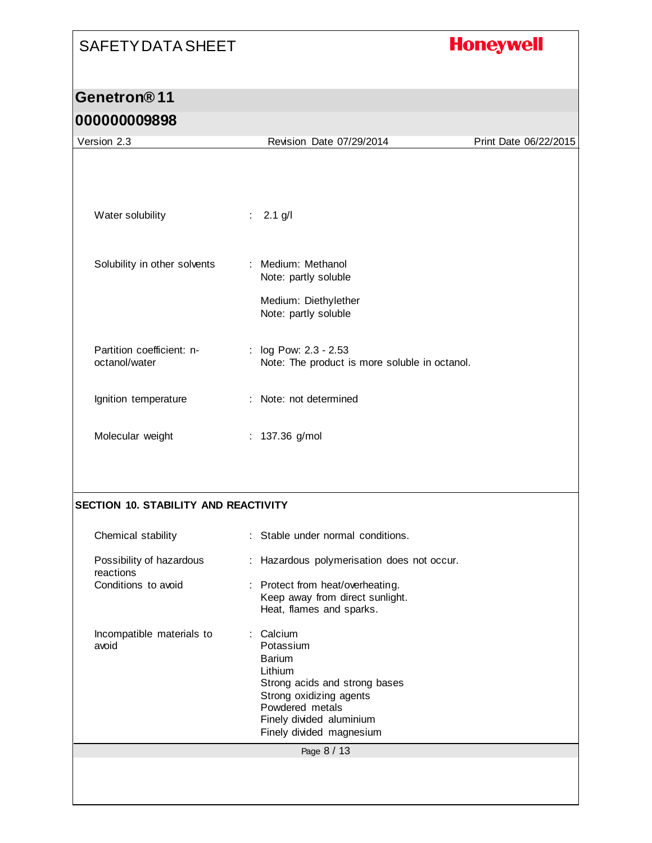# **Honeywell**

| Version 2.3                                 | Revision Date 07/29/2014                                                                                                                                                                | Print Date 06/22/2015 |
|---------------------------------------------|-----------------------------------------------------------------------------------------------------------------------------------------------------------------------------------------|-----------------------|
|                                             |                                                                                                                                                                                         |                       |
| Water solubility                            | $2.1$ g/l<br>÷                                                                                                                                                                          |                       |
| Solubility in other solvents                | : Medium: Methanol<br>Note: partly soluble                                                                                                                                              |                       |
|                                             | Medium: Diethylether<br>Note: partly soluble                                                                                                                                            |                       |
| Partition coefficient: n-<br>octanol/water  | : log Pow: 2.3 - 2.53<br>Note: The product is more soluble in octanol.                                                                                                                  |                       |
| Ignition temperature                        | Note: not determined                                                                                                                                                                    |                       |
| Molecular weight                            | : 137.36 g/mol                                                                                                                                                                          |                       |
| <b>SECTION 10. STABILITY AND REACTIVITY</b> |                                                                                                                                                                                         |                       |
| Chemical stability                          | : Stable under normal conditions.                                                                                                                                                       |                       |
| Possibility of hazardous<br>reactions       | : Hazardous polymerisation does not occur.                                                                                                                                              |                       |
| Conditions to avoid                         | : Protect from heat/overheating.<br>Keep away from direct sunlight.<br>Heat, flames and sparks.                                                                                         |                       |
| Incompatible materials to<br>avoid          | Calcium<br>Potassium<br><b>Barium</b><br>Lithium<br>Strong acids and strong bases<br>Strong oxidizing agents<br>Powdered metals<br>Finely divided aluminium<br>Finely divided magnesium |                       |
|                                             | Page 8 / 13                                                                                                                                                                             |                       |
|                                             |                                                                                                                                                                                         |                       |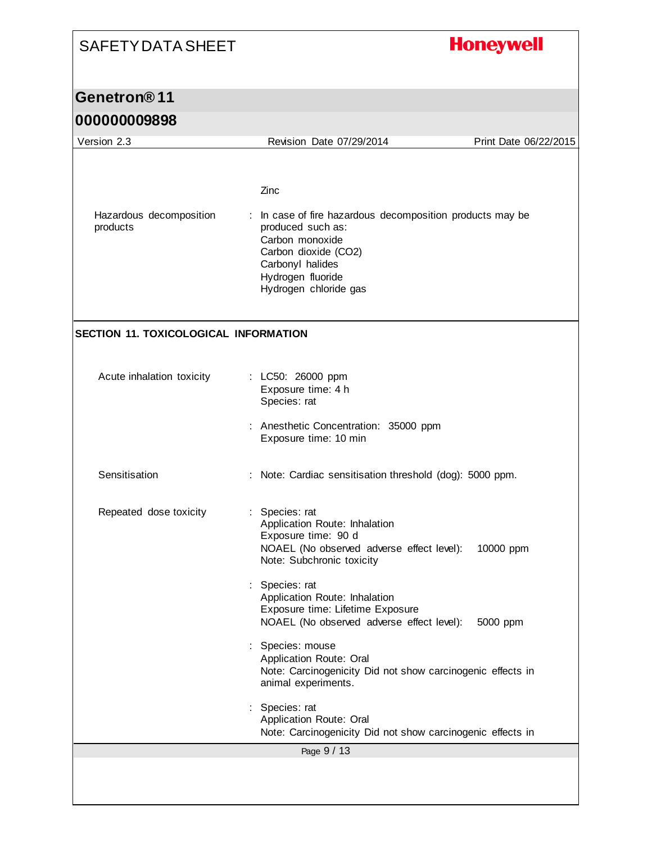# **Honeywell**

|  |  |  |  |  | <b>000000009898</b> |  |
|--|--|--|--|--|---------------------|--|
|  |  |  |  |  |                     |  |

| uuuuuuususu                                  |                                                                                                                                                                                                     |                       |
|----------------------------------------------|-----------------------------------------------------------------------------------------------------------------------------------------------------------------------------------------------------|-----------------------|
| Version 2.3                                  | Revision Date 07/29/2014                                                                                                                                                                            | Print Date 06/22/2015 |
| Hazardous decomposition<br>products          | Zinc<br>: In case of fire hazardous decomposition products may be<br>produced such as:<br>Carbon monoxide<br>Carbon dioxide (CO2)<br>Carbonyl halides<br>Hydrogen fluoride<br>Hydrogen chloride gas |                       |
| <b>SECTION 11. TOXICOLOGICAL INFORMATION</b> |                                                                                                                                                                                                     |                       |
| Acute inhalation toxicity                    | : LC50: 26000 ppm<br>Exposure time: 4 h<br>Species: rat                                                                                                                                             |                       |
|                                              | Anesthetic Concentration: 35000 ppm<br>Exposure time: 10 min                                                                                                                                        |                       |
| Sensitisation                                | : Note: Cardiac sensitisation threshold (dog): 5000 ppm.                                                                                                                                            |                       |
| Repeated dose toxicity                       | Species: rat<br>Application Route: Inhalation<br>Exposure time: 90 d<br>NOAEL (No observed adverse effect level):<br>Note: Subchronic toxicity                                                      | 10000 ppm             |
|                                              | Species: rat<br>Application Route: Inhalation<br>Exposure time: Lifetime Exposure<br>NOAEL (No observed adverse effect level):                                                                      | 5000 ppm              |
|                                              | Species: mouse<br>Application Route: Oral<br>Note: Carcinogenicity Did not show carcinogenic effects in<br>animal experiments.                                                                      |                       |
|                                              | Species: rat<br>Application Route: Oral<br>Note: Carcinogenicity Did not show carcinogenic effects in                                                                                               |                       |
|                                              | Page 9 / 13                                                                                                                                                                                         |                       |
|                                              |                                                                                                                                                                                                     |                       |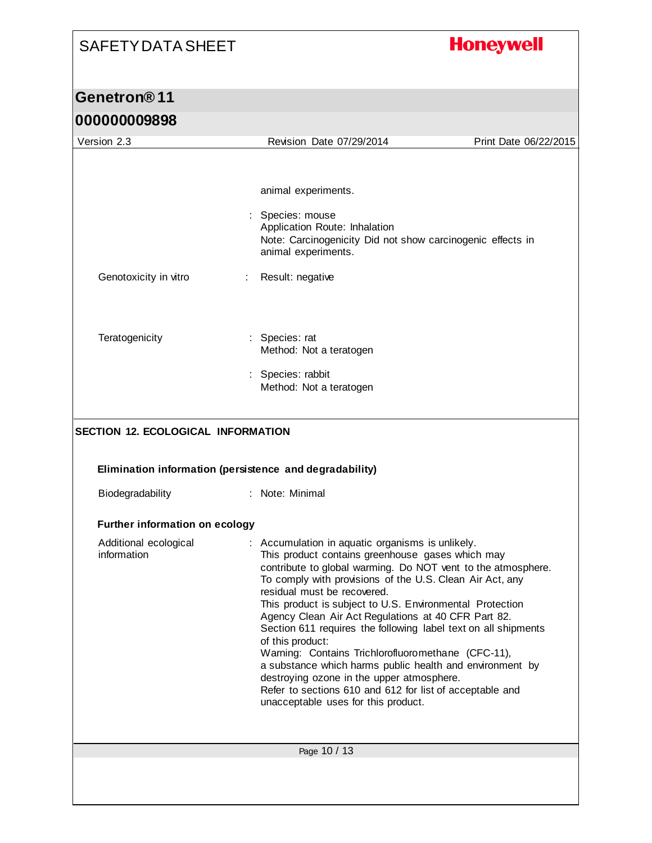# **Honeywell**

| 000000009898                                           |                                                                                                                                                                                                                                                                                                                                                                                                                                                                                                                                                                                                                                                                                                                                            |                       |
|--------------------------------------------------------|--------------------------------------------------------------------------------------------------------------------------------------------------------------------------------------------------------------------------------------------------------------------------------------------------------------------------------------------------------------------------------------------------------------------------------------------------------------------------------------------------------------------------------------------------------------------------------------------------------------------------------------------------------------------------------------------------------------------------------------------|-----------------------|
| Version 2.3                                            | Revision Date 07/29/2014                                                                                                                                                                                                                                                                                                                                                                                                                                                                                                                                                                                                                                                                                                                   | Print Date 06/22/2015 |
| Genotoxicity in vitro                                  | animal experiments.<br>Species: mouse<br>Application Route: Inhalation<br>Note: Carcinogenicity Did not show carcinogenic effects in<br>animal experiments.<br>Result: negative                                                                                                                                                                                                                                                                                                                                                                                                                                                                                                                                                            |                       |
| Teratogenicity                                         | : Species: rat<br>Method: Not a teratogen<br>: Species: rabbit<br>Method: Not a teratogen                                                                                                                                                                                                                                                                                                                                                                                                                                                                                                                                                                                                                                                  |                       |
|                                                        |                                                                                                                                                                                                                                                                                                                                                                                                                                                                                                                                                                                                                                                                                                                                            |                       |
| SECTION 12. ECOLOGICAL INFORMATION<br>Biodegradability | Elimination information (persistence and degradability)<br>: Note: Minimal                                                                                                                                                                                                                                                                                                                                                                                                                                                                                                                                                                                                                                                                 |                       |
| <b>Further information on ecology</b>                  |                                                                                                                                                                                                                                                                                                                                                                                                                                                                                                                                                                                                                                                                                                                                            |                       |
| Additional ecological<br>information                   | : Accumulation in aquatic organisms is unlikely.<br>This product contains greenhouse gases which may<br>contribute to global warming. Do NOT vent to the atmosphere.<br>To comply with provisions of the U.S. Clean Air Act, any<br>residual must be recovered.<br>This product is subject to U.S. Environmental Protection<br>Agency Clean Air Act Regulations at 40 CFR Part 82.<br>Section 611 requires the following label text on all shipments<br>of this product:<br>Warning: Contains Trichlorofluoromethane (CFC-11),<br>a substance which harms public health and environment by<br>destroying ozone in the upper atmosphere.<br>Refer to sections 610 and 612 for list of acceptable and<br>unacceptable uses for this product. |                       |
|                                                        | Page 10 / 13                                                                                                                                                                                                                                                                                                                                                                                                                                                                                                                                                                                                                                                                                                                               |                       |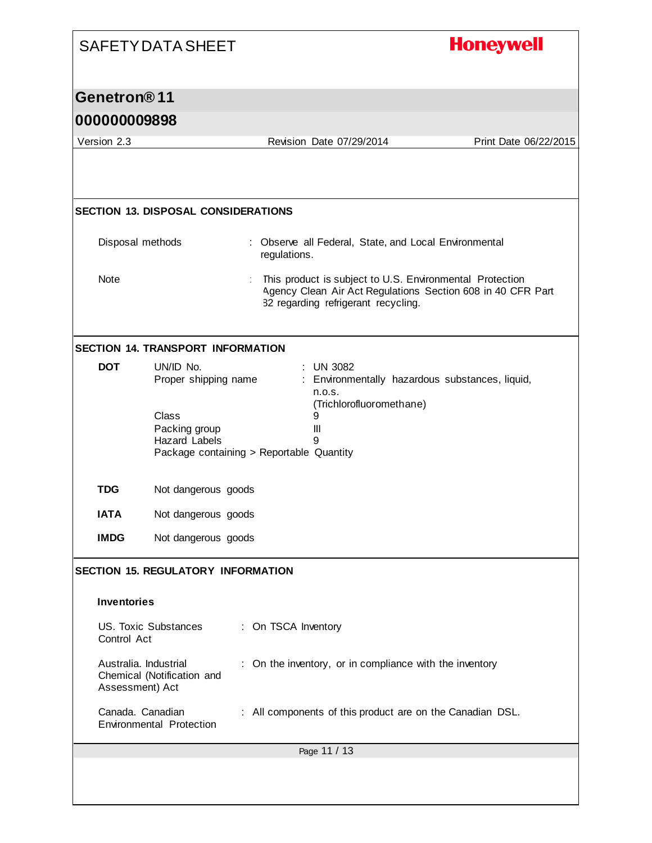| <b>SAFETY DATA SHEET</b>                   |                                                |                                                                                                                                                                | <b>Honeywell</b>      |
|--------------------------------------------|------------------------------------------------|----------------------------------------------------------------------------------------------------------------------------------------------------------------|-----------------------|
| Genetron <sup>®</sup> 11                   |                                                |                                                                                                                                                                |                       |
| 000000009898                               |                                                |                                                                                                                                                                |                       |
| Version 2.3                                |                                                | Revision Date 07/29/2014                                                                                                                                       | Print Date 06/22/2015 |
|                                            |                                                |                                                                                                                                                                |                       |
| <b>SECTION 13. DISPOSAL CONSIDERATIONS</b> |                                                |                                                                                                                                                                |                       |
| Disposal methods                           |                                                | : Observe all Federal, State, and Local Environmental<br>regulations.                                                                                          |                       |
| Note                                       |                                                | This product is subject to U.S. Environmental Protection<br>Agency Clean Air Act Regulations Section 608 in 40 CFR Part<br>82 regarding refrigerant recycling. |                       |
| <b>SECTION 14. TRANSPORT INFORMATION</b>   |                                                |                                                                                                                                                                |                       |
| <b>DOT</b>                                 | UN/ID No.<br>Proper shipping name              | $:$ UN 3082<br>: Environmentally hazardous substances, liquid,<br>n.o.s.<br>(Trichlorofluoromethane)                                                           |                       |
|                                            | Class<br>Packing group<br><b>Hazard Labels</b> | 9<br>Ш<br>9<br>Package containing > Reportable Quantity                                                                                                        |                       |
| <b>TDG</b>                                 | Not dangerous goods                            |                                                                                                                                                                |                       |
| <b>IATA</b>                                | Not dangerous goods                            |                                                                                                                                                                |                       |
| <b>IMDG</b>                                | Not dangerous goods                            |                                                                                                                                                                |                       |
| <b>SECTION 15. REGULATORY INFORMATION</b>  |                                                |                                                                                                                                                                |                       |
| <b>Inventories</b>                         |                                                |                                                                                                                                                                |                       |
| <b>US. Toxic Substances</b><br>Control Act |                                                | : On TSCA Inventory                                                                                                                                            |                       |
| Australia. Industrial<br>Assessment) Act   | Chemical (Notification and                     | : On the inventory, or in compliance with the inventory                                                                                                        |                       |
| Canada. Canadian                           | Environmental Protection                       | : All components of this product are on the Canadian DSL.                                                                                                      |                       |
|                                            |                                                | Page 11 / 13                                                                                                                                                   |                       |
|                                            |                                                |                                                                                                                                                                |                       |

I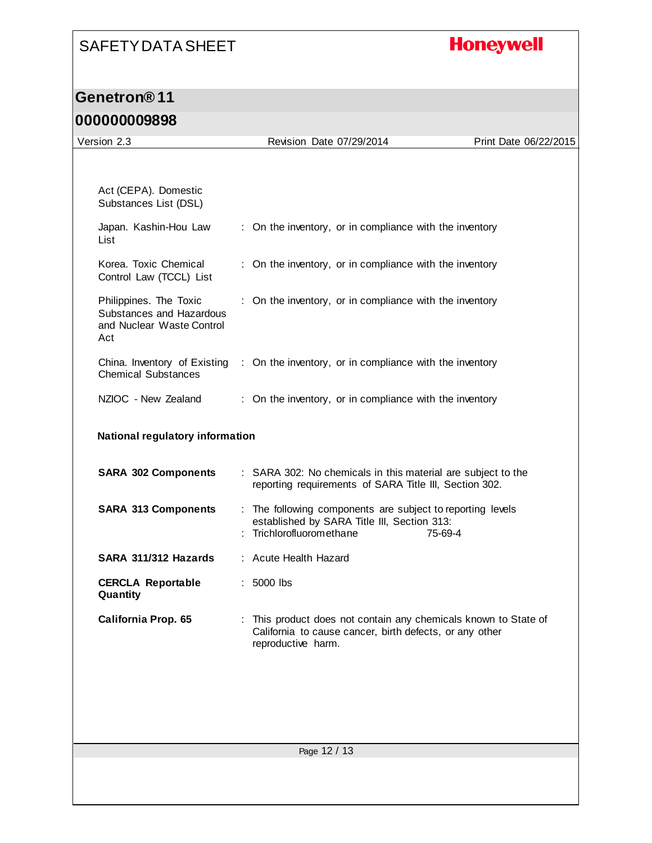# **Honeywell**

#### **Genetron® 11**

#### **000000009898**

| Version 2.3                                                                            | Revision Date 07/29/2014                                                                                                                       | Print Date 06/22/2015 |  |
|----------------------------------------------------------------------------------------|------------------------------------------------------------------------------------------------------------------------------------------------|-----------------------|--|
|                                                                                        |                                                                                                                                                |                       |  |
| Act (CEPA). Domestic<br>Substances List (DSL)                                          |                                                                                                                                                |                       |  |
| Japan. Kashin-Hou Law<br>List                                                          | : On the inventory, or in compliance with the inventory                                                                                        |                       |  |
| Korea. Toxic Chemical<br>Control Law (TCCL) List                                       | : On the inventory, or in compliance with the inventory                                                                                        |                       |  |
| Philippines. The Toxic<br>Substances and Hazardous<br>and Nuclear Waste Control<br>Act | : On the inventory, or in compliance with the inventory                                                                                        |                       |  |
| China. Inventory of Existing<br><b>Chemical Substances</b>                             | : On the inventory, or in compliance with the inventory                                                                                        |                       |  |
| NZIOC - New Zealand                                                                    | : On the inventory, or in compliance with the inventory                                                                                        |                       |  |
| National regulatory information                                                        |                                                                                                                                                |                       |  |
| <b>SARA 302 Components</b>                                                             | : SARA 302: No chemicals in this material are subject to the<br>reporting requirements of SARA Title III, Section 302.                         |                       |  |
| <b>SARA 313 Components</b>                                                             | : The following components are subject to reporting levels<br>established by SARA Title III, Section 313:<br>Trichlorofluoromethane            | 75-69-4               |  |
| SARA 311/312 Hazards                                                                   | : Acute Health Hazard                                                                                                                          |                       |  |
| <b>CERCLA Reportable</b><br>Quantity                                                   | $: 5000$ lbs                                                                                                                                   |                       |  |
| California Prop. 65                                                                    | This product does not contain any chemicals known to State of<br>California to cause cancer, birth defects, or any other<br>reproductive harm. |                       |  |
|                                                                                        |                                                                                                                                                |                       |  |
|                                                                                        |                                                                                                                                                |                       |  |
|                                                                                        | Page 12 / 13                                                                                                                                   |                       |  |
|                                                                                        |                                                                                                                                                |                       |  |